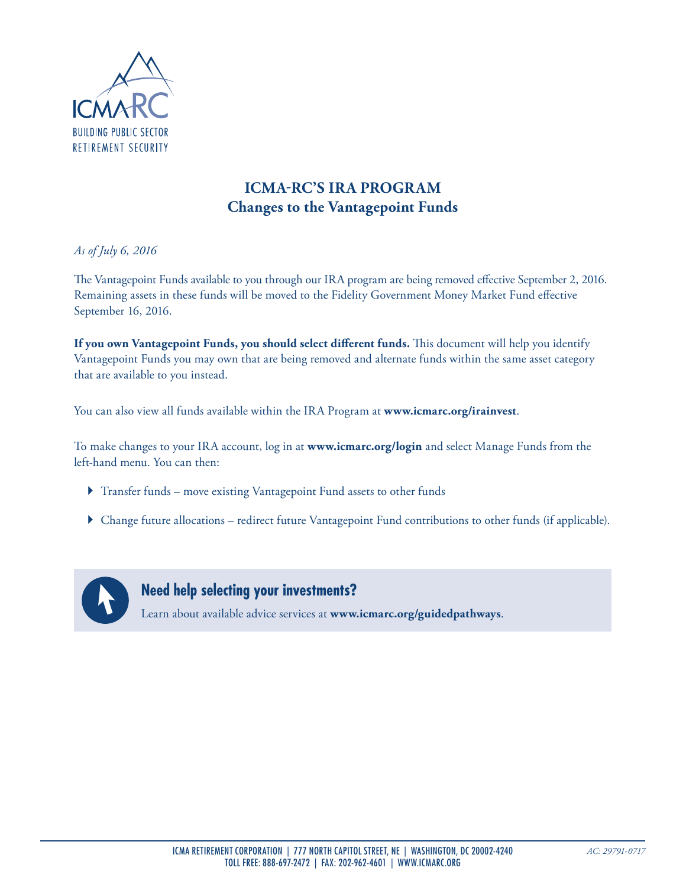

## **ICMA-RC'S IRA PROGRAM Changes to the Vantagepoint Funds**

*As of July 6, 2016*

The Vantagepoint Funds available to you through our IRA program are being removed effective September 2, 2016. Remaining assets in these funds will be moved to the Fidelity Government Money Market Fund effective September 16, 2016.

**If you own Vantagepoint Funds, you should select different funds.** This document will help you identify Vantagepoint Funds you may own that are being removed and alternate funds within the same asset category that are available to you instead.

You can also view all funds available within the IRA Program at **www.icmarc.org/irainvest**.

To make changes to your IRA account, log in at **www.icmarc.org/login** and select Manage Funds from the left-hand menu. You can then:

- } Transfer funds move existing Vantagepoint Fund assets to other funds
- } Change future allocations redirect future Vantagepoint Fund contributions to other funds (if applicable).



**Need help selecting your investments?** 

Learn about available advice services at **www.icmarc.org/guidedpathways**.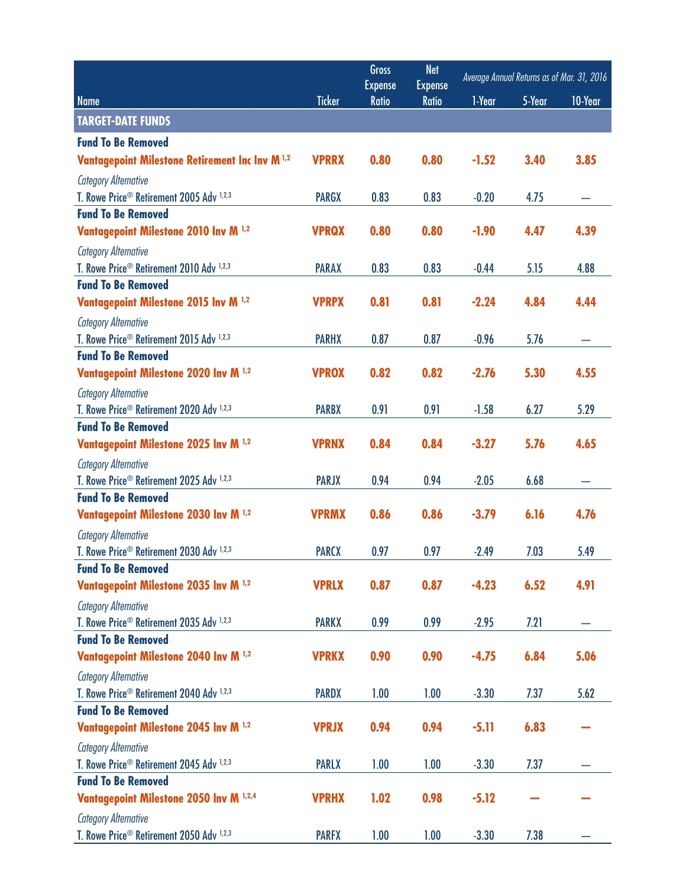|                                                                 |               | Gross                          | <b>Net</b>                     | Average Annual Returns as of Mar. 31, 2016 |        |         |
|-----------------------------------------------------------------|---------------|--------------------------------|--------------------------------|--------------------------------------------|--------|---------|
| <b>Name</b>                                                     | <b>Ticker</b> | <b>Expense</b><br><b>Ratio</b> | <b>Expense</b><br><b>Ratio</b> | 1-Year                                     | 5-Year | 10-Year |
| <b>TARGET-DATE FUNDS</b>                                        |               |                                |                                |                                            |        |         |
| <b>Fund To Be Removed</b>                                       |               |                                |                                |                                            |        |         |
| <b>Vantagepoint Milestone Retirement Inc Inv M 1,2</b>          | <b>VPRRX</b>  | 0.80                           | 0.80                           | $-1.52$                                    | 3.40   | 3.85    |
| <b>Category Alternative</b>                                     |               |                                |                                |                                            |        |         |
| T. Rowe Price <sup>®</sup> Retirement 2005 Adv <sup>1,2,3</sup> | <b>PARGX</b>  | 0.83                           | 0.83                           | $-0.20$                                    | 4.75   |         |
| <b>Fund To Be Removed</b>                                       |               |                                |                                |                                            |        |         |
| Vantagepoint Milestone 2010 Inv M 1,2                           | <b>VPRQX</b>  | 0.80                           | 0.80                           | $-1.90$                                    | 4.47   | 4.39    |
| <b>Category Alternative</b>                                     |               |                                |                                |                                            |        |         |
| T. Rowe Price <sup>®</sup> Retirement 2010 Adv <sup>1,2,3</sup> | <b>PARAX</b>  | 0.83                           | 0.83                           | $-0.44$                                    | 5.15   | 4.88    |
| <b>Fund To Be Removed</b>                                       |               |                                |                                |                                            |        |         |
| Vantagepoint Milestone 2015 Inv M 1,2                           | <b>VPRPX</b>  | 0.81                           | 0.81                           | $-2.24$                                    | 4.84   | 4.44    |
| <b>Category Alternative</b>                                     |               |                                |                                |                                            |        |         |
| T. Rowe Price <sup>®</sup> Retirement 2015 Adv <sup>1,2,3</sup> | <b>PARHX</b>  | 0.87                           | 0.87                           | $-0.96$                                    | 5.76   |         |
| <b>Fund To Be Removed</b>                                       |               |                                |                                |                                            |        |         |
| Vantagepoint Milestone 2020 Inv M <sup>1,2</sup>                | <b>VPROX</b>  | 0.82                           | 0.82                           | $-2.76$                                    | 5.30   | 4.55    |
| <b>Category Alternative</b>                                     |               |                                |                                |                                            |        |         |
| T. Rowe Price <sup>®</sup> Retirement 2020 Adv <sup>1,2,3</sup> | <b>PARBX</b>  | 0.91                           | 0.91                           | $-1.58$                                    | 6.27   | 5.29    |
| <b>Fund To Be Removed</b>                                       |               |                                |                                |                                            |        |         |
| Vantagepoint Milestone 2025 Inv M 1,2                           | <b>VPRNX</b>  | 0.84                           | 0.84                           | $-3.27$                                    | 5.76   | 4.65    |
| <b>Category Alternative</b>                                     |               |                                |                                |                                            |        |         |
| T. Rowe Price <sup>®</sup> Retirement 2025 Adv <sup>1,2,3</sup> | <b>PARJX</b>  | 0.94                           | 0.94                           | $-2.05$                                    | 6.68   |         |
| <b>Fund To Be Removed</b>                                       |               |                                |                                |                                            |        |         |
| Vantagepoint Milestone 2030 Inv M <sup>1,2</sup>                | <b>VPRMX</b>  | 0.86                           | 0.86                           | $-3.79$                                    | 6.16   | 4.76    |
| <b>Category Alternative</b>                                     |               |                                |                                |                                            |        |         |
| T. Rowe Price <sup>®</sup> Retirement 2030 Adv <sup>1,2,3</sup> | <b>PARCX</b>  | 0.97                           | 0.97                           | $-2.49$                                    | 7.03   | 5.49    |
| <b>Fund To Be Removed</b>                                       |               |                                |                                |                                            |        |         |
| Vantagepoint Milestone 2035 Inv M <sup>1,2</sup>                | <b>VPRLX</b>  | 0.87                           | 0.87                           | $-4.23$                                    | 6.52   | 4.91    |
| <b>Category Alternative</b>                                     |               |                                |                                |                                            |        |         |
| T. Rowe Price <sup>®</sup> Retirement 2035 Adv <sup>1,2,3</sup> | <b>PARKX</b>  | 0.99                           | 0.99                           | $-2.95$                                    | 7.21   |         |
| <b>Fund To Be Removed</b>                                       |               |                                |                                |                                            |        |         |
| Vantagepoint Milestone 2040 Inv M 1,2                           | <b>VPRKX</b>  | 0.90                           | 0.90                           | $-4.75$                                    | 6.84   | 5.06    |
| <b>Category Alternative</b>                                     |               |                                |                                |                                            |        |         |
| T. Rowe Price <sup>®</sup> Retirement 2040 Adv <sup>1,2,3</sup> | <b>PARDX</b>  | 1.00                           | 1.00                           | $-3.30$                                    | 7.37   | 5.62    |
| <b>Fund To Be Removed</b>                                       |               |                                |                                |                                            |        |         |
| Vantagepoint Milestone 2045 Inv M 1,2                           | <b>VPRJX</b>  | 0.94                           | 0.94                           | $-5.11$                                    | 6.83   |         |
| <b>Category Alternative</b>                                     |               |                                |                                |                                            |        |         |
| T. Rowe Price <sup>®</sup> Retirement 2045 Adv <sup>1,2,3</sup> | <b>PARLX</b>  | 1.00                           | 1.00                           | $-3.30$                                    | 7.37   |         |
| <b>Fund To Be Removed</b>                                       | <b>VPRHX</b>  | 1.02                           | 0.98                           | $-5.12$                                    |        |         |
| Vantagepoint Milestone 2050 Inv M 1,2,4                         |               |                                |                                |                                            |        |         |
| <b>Category Alternative</b>                                     |               |                                |                                |                                            |        |         |
| T. Rowe Price <sup>®</sup> Retirement 2050 Adv <sup>1,2,3</sup> | <b>PARFX</b>  | 1.00                           | 1.00                           | $-3.30$                                    | 7.38   |         |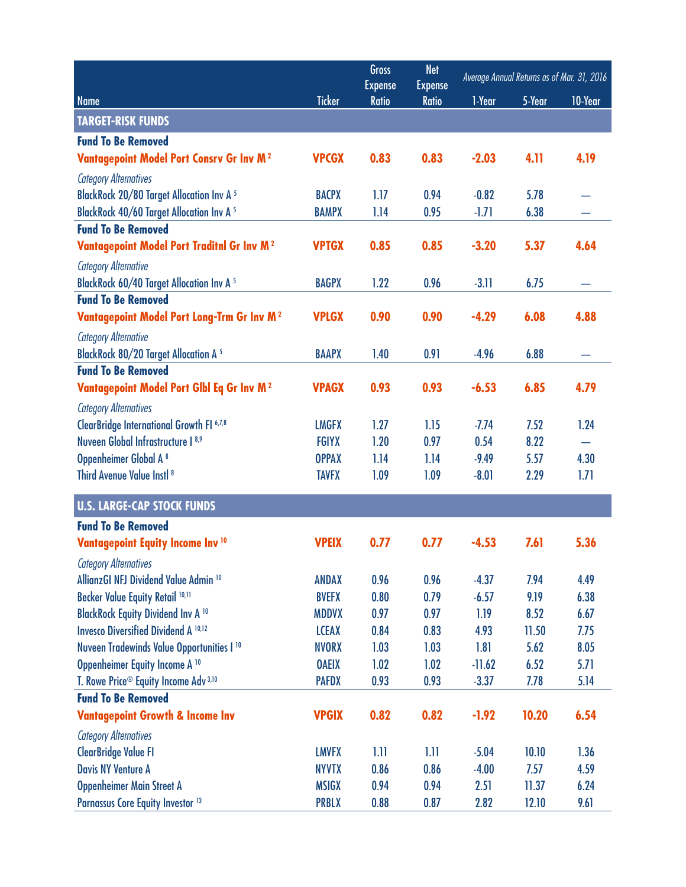| <b>Expense</b><br><b>Expense</b><br><b>Ticker</b><br><b>Name</b><br><b>Ratio</b><br><b>Ratio</b><br>1-Year<br>5-Year<br>10-Year                              |  |
|--------------------------------------------------------------------------------------------------------------------------------------------------------------|--|
|                                                                                                                                                              |  |
| <b>TARGET-RISK FUNDS</b>                                                                                                                                     |  |
| <b>Fund To Be Removed</b>                                                                                                                                    |  |
| <b>Vantagepoint Model Port Consrv Gr Inv M2</b><br>0.83<br>0.83<br>$-2.03$<br>4.11<br>4.19<br><b>VPCGX</b>                                                   |  |
| <b>Category Alternatives</b>                                                                                                                                 |  |
| <b>BlackRock 20/80 Target Allocation Inv A 5</b><br>1.17<br>5.78<br><b>BACPX</b><br>0.94<br>$-0.82$                                                          |  |
| <b>BlackRock 40/60 Target Allocation Inv A 5</b><br>1.14<br>0.95<br>$-1.71$<br>6.38<br><b>BAMPX</b>                                                          |  |
| <b>Fund To Be Removed</b>                                                                                                                                    |  |
| Vantagepoint Model Port Traditnl Gr Inv M <sup>2</sup><br>0.85<br>$-3.20$<br>5.37<br><b>VPTGX</b><br>0.85<br>4.64                                            |  |
| <b>Category Alternative</b>                                                                                                                                  |  |
| <b>BlackRock 60/40 Target Allocation Inv A 5</b><br>1.22<br><b>BAGPX</b><br>0.96<br>$-3.11$<br>6.75                                                          |  |
| <b>Fund To Be Removed</b>                                                                                                                                    |  |
| <b>VPLGX</b><br>0.90<br>0.90<br>$-4.29$<br>6.08<br>4.88<br><b>Vantagepoint Model Port Long-Trm Gr Inv M2</b>                                                 |  |
| <b>Category Alternative</b>                                                                                                                                  |  |
| <b>BlackRock 80/20 Target Allocation A 5</b><br>1.40<br>0.91<br>6.88<br><b>BAAPX</b><br>$-4.96$                                                              |  |
| <b>Fund To Be Removed</b>                                                                                                                                    |  |
| Vantagepoint Model Port Glbl Eq Gr Inv M <sup>2</sup><br>6.85<br>0.93<br>0.93<br>$-6.53$<br>4.79<br><b>VPAGX</b>                                             |  |
| <b>Category Alternatives</b>                                                                                                                                 |  |
| <b>ClearBridge International Growth FI 6,7,8</b><br><b>LMGFX</b><br>1.27<br>1.15<br>7.52<br>$-7.74$<br>1.24                                                  |  |
| Nuveen Global Infrastructure I 8,9<br>1.20<br>8.22<br><b>FGIYX</b><br>0.97<br>0.54                                                                           |  |
| Oppenheimer Global A <sup>8</sup><br><b>OPPAX</b><br>1.14<br>1.14<br>$-9.49$<br>5.57<br>4.30                                                                 |  |
| Third Avenue Value Instl <sup>8</sup><br>1.09<br>1.09<br>$-8.01$<br>2.29<br>1.71<br><b>TAVFX</b>                                                             |  |
| <b>U.S. LARGE-CAP STOCK FUNDS</b>                                                                                                                            |  |
| <b>Fund To Be Removed</b>                                                                                                                                    |  |
| 7.61<br>Vantagepoint Equity Income Inv <sup>10</sup><br><b>VPEIX</b><br>0.77<br>0.77<br>$-4.53$<br>5.36                                                      |  |
| <b>Category Alternatives</b>                                                                                                                                 |  |
| AllianzGI NFJ Dividend Value Admin <sup>10</sup><br>0.96<br>0.96<br><b>ANDAX</b><br>$-4.37$<br>7.94<br>4.49                                                  |  |
| Becker Value Equity Retail 10,11<br>0.80<br><b>BVEFX</b><br>0.79<br>$-6.57$<br>9.19<br>6.38                                                                  |  |
| <b>BlackRock Equity Dividend Inv A 10</b><br>0.97<br>0.97<br>1.19<br><b>MDDVX</b><br>8.52<br>6.67                                                            |  |
| <b>Invesco Diversified Dividend A 10,12</b><br>0.84<br><b>LCEAX</b><br>0.83<br>4.93<br>11.50<br>7.75                                                         |  |
| Nuveen Tradewinds Value Opportunities I <sup>10</sup><br><b>NVORX</b><br>1.03<br>1.03<br>1.81<br>5.62<br>8.05                                                |  |
| Oppenheimer Equity Income A <sup>10</sup><br>1.02<br><b>OAEIX</b><br>1.02<br>$-11.62$<br>6.52<br>5.71                                                        |  |
| T. Rowe Price <sup>®</sup> Equity Income Adv <sup>3,10</sup><br><b>PAFDX</b><br>0.93<br>0.93<br>$-3.37$<br>7.78<br>5.14<br><b>Fund To Be Removed</b>         |  |
| <b>Vantagepoint Growth &amp; Income Inv</b><br><b>VPGIX</b><br>0.82<br>0.82<br>$-1.92$<br>10.20<br>6.54                                                      |  |
|                                                                                                                                                              |  |
| <b>Category Alternatives</b>                                                                                                                                 |  |
| <b>ClearBridge Value FI</b><br><b>LMVFX</b><br>1.11<br>1.11<br>$-5.04$<br>10.10<br>1.36<br><b>Davis NY Venture A</b><br><b>NYVTX</b><br>0.86<br>0.86<br>7.57 |  |
| $-4.00$<br>4.59<br><b>Oppenheimer Main Street A</b><br><b>MSIGX</b><br>0.94<br>0.94<br>2.51<br>11.37<br>6.24                                                 |  |
| Parnassus Core Equity Investor <sup>13</sup><br><b>PRBLX</b><br>0.88<br>2.82<br>12.10<br>9.61<br>0.87                                                        |  |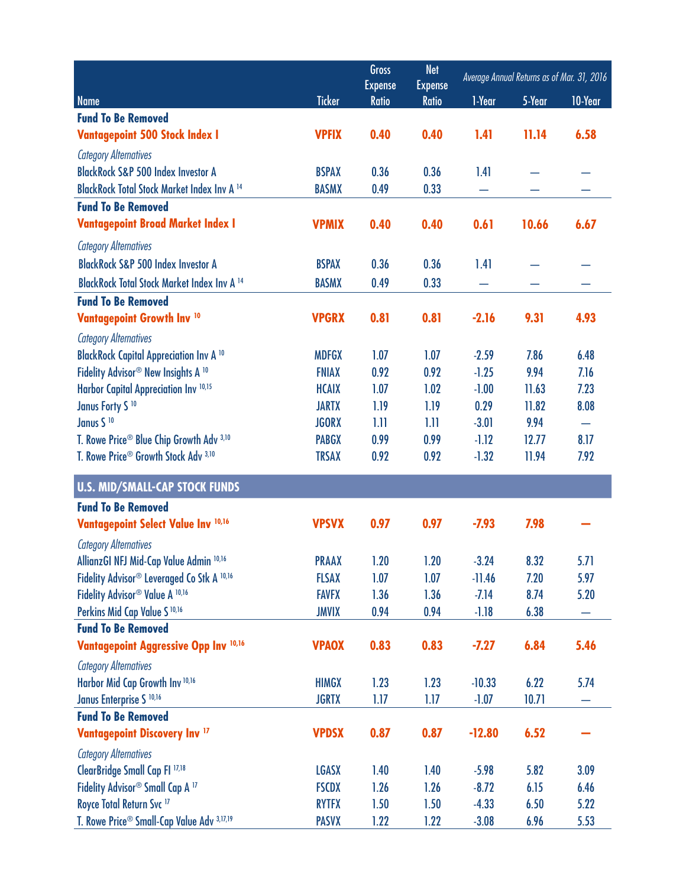|                                                            |               | <b>Gross</b><br><b>Expense</b> | <b>Net</b><br><b>Expense</b> | Average Annual Returns as of Mar. 31, 2016 |        |                          |
|------------------------------------------------------------|---------------|--------------------------------|------------------------------|--------------------------------------------|--------|--------------------------|
| <b>Name</b>                                                | <b>Ticker</b> | <b>Ratio</b>                   | <b>Ratio</b>                 | 1-Year                                     | 5-Year | 10-Year                  |
| <b>Fund To Be Removed</b>                                  |               |                                |                              |                                            |        |                          |
| <b>Vantagepoint 500 Stock Index I</b>                      | <b>VPFIX</b>  | 0.40                           | 0.40                         | 1.41                                       | 11.14  | 6.58                     |
| <b>Category Alternatives</b>                               |               |                                |                              |                                            |        |                          |
| <b>BlackRock S&amp;P 500 Index Investor A</b>              | <b>BSPAX</b>  | 0.36                           | 0.36                         | 1.41                                       |        |                          |
| <b>BlackRock Total Stock Market Index Inv A 14</b>         | <b>BASMX</b>  | 0.49                           | 0.33                         |                                            |        |                          |
| <b>Fund To Be Removed</b>                                  |               |                                |                              |                                            |        |                          |
| <b>Vantagepoint Broad Market Index I</b>                   | <b>VPMIX</b>  | 0.40                           | 0.40                         | 0.61                                       | 10.66  | 6.67                     |
| <b>Category Alternatives</b>                               |               |                                |                              |                                            |        |                          |
| <b>BlackRock S&amp;P 500 Index Investor A</b>              | <b>BSPAX</b>  | 0.36                           | 0.36                         | 1.41                                       |        |                          |
| <b>BlackRock Total Stock Market Index Inv A 14</b>         | <b>BASMX</b>  | 0.49                           | 0.33                         |                                            |        |                          |
| <b>Fund To Be Removed</b>                                  |               |                                |                              |                                            |        |                          |
| <b>Vantagepoint Growth Inv 10</b>                          | <b>VPGRX</b>  | 0.81                           | 0.81                         | $-2.16$                                    | 9.31   | 4.93                     |
| <b>Category Alternatives</b>                               |               |                                |                              |                                            |        |                          |
| <b>BlackRock Capital Appreciation Inv A 10</b>             | <b>MDFGX</b>  | 1.07                           | 1.07                         | $-2.59$                                    | 7.86   | 6.48                     |
| Fidelity Advisor <sup>®</sup> New Insights A <sup>10</sup> | <b>FNIAX</b>  | 0.92                           | 0.92                         | $-1.25$                                    | 9.94   | 7.16                     |
| Harbor Capital Appreciation Inv 10,15                      | <b>HCAIX</b>  | 1.07                           | 1.02                         | $-1.00$                                    | 11.63  | 7.23                     |
| Janus Forty S <sup>10</sup>                                | <b>JARTX</b>  | 1.19                           | 1.19                         | 0.29                                       | 11.82  | 8.08                     |
| Janus S <sup>10</sup>                                      | <b>JGORX</b>  | 1.11                           | 1.11                         | $-3.01$                                    | 9.94   | $\overline{\phantom{0}}$ |
| T. Rowe Price® Blue Chip Growth Adv 3,10                   | <b>PABGX</b>  | 0.99                           | 0.99                         | $-1.12$                                    | 12.77  | 8.17                     |
| T. Rowe Price® Growth Stock Adv 3,10                       | <b>TRSAX</b>  | 0.92                           | 0.92                         | $-1.32$                                    | 11.94  | 7.92                     |
| <b>U.S. MID/SMALL-CAP STOCK FUNDS</b>                      |               |                                |                              |                                            |        |                          |
| <b>Fund To Be Removed</b>                                  |               |                                |                              |                                            |        |                          |
| Vantagepoint Select Value Inv 10,16                        | <b>VPSVX</b>  | 0.97                           | 0.97                         | $-7.93$                                    | 7.98   |                          |
| <b>Category Alternatives</b>                               |               |                                |                              |                                            |        |                          |
| AllianzGI NFJ Mid-Cap Value Admin 10,16                    | <b>PRAAX</b>  | 1.20                           | 1.20                         | $-3.24$                                    | 8.32   | 5.71                     |
| Fidelity Advisor® Leveraged Co Stk A 10,16                 | <b>FLSAX</b>  | 1.07                           | 1.07                         | $-11.46$                                   | 7.20   | 5.97                     |
| Fidelity Advisor® Value A 10,16                            | <b>FAVFX</b>  | 1.36                           | 1.36                         | $-7.14$                                    | 8.74   | 5.20                     |
| Perkins Mid Cap Value S <sup>10,16</sup>                   | <b>JMVIX</b>  | 0.94                           | 0.94                         | $-1.18$                                    | 6.38   |                          |
| <b>Fund To Be Removed</b>                                  |               |                                |                              |                                            |        |                          |
| Vantagepoint Aggressive Opp Inv 10,16                      | <b>VPAOX</b>  | 0.83                           | 0.83                         | $-7.27$                                    | 6.84   | 5.46                     |
| <b>Category Alternatives</b>                               |               |                                |                              |                                            |        |                          |
| Harbor Mid Cap Growth Inv 10,16                            | <b>HIMGX</b>  | 1.23                           | 1.23                         | $-10.33$                                   | 6.22   | 5.74                     |
| Janus Enterprise S <sup>10,16</sup>                        | <b>JGRTX</b>  | 1.17                           | 1.17                         | $-1.07$                                    | 10.71  |                          |
| <b>Fund To Be Removed</b>                                  |               |                                |                              |                                            |        |                          |
| <b>Vantagepoint Discovery Inv 17</b>                       | <b>VPDSX</b>  | 0.87                           | 0.87                         | $-12.80$                                   | 6.52   |                          |
| <b>Category Alternatives</b>                               |               |                                |                              |                                            |        |                          |
| ClearBridge Small Cap FI 17,18                             | <b>LGASX</b>  | 1.40                           | 1.40                         | $-5.98$                                    | 5.82   | 3.09                     |
| Fidelity Advisor® Small Cap A <sup>17</sup>                | <b>FSCDX</b>  | 1.26                           | 1.26                         | $-8.72$                                    | 6.15   | 6.46                     |
| Royce Total Return Svc <sup>17</sup>                       | <b>RYTFX</b>  | 1.50                           | 1.50                         | $-4.33$                                    | 6.50   | 5.22                     |
| T. Rowe Price® Small-Cap Value Adv 3,17,19                 | <b>PASVX</b>  | 1.22                           | 1.22                         | $-3.08$                                    | 6.96   | 5.53                     |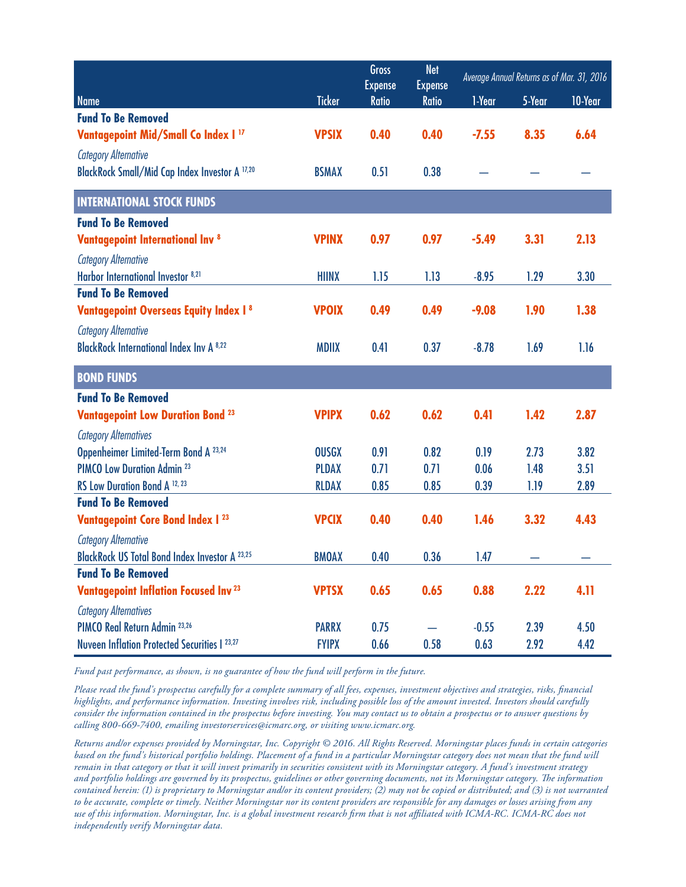|                                                               |               | <b>Gross</b><br><b>Expense</b> | <b>Net</b><br><b>Expense</b> | Average Annual Returns as of Mar. 31, 2016 |        |         |
|---------------------------------------------------------------|---------------|--------------------------------|------------------------------|--------------------------------------------|--------|---------|
| <b>Name</b>                                                   | <b>Ticker</b> | <b>Ratio</b>                   | <b>Ratio</b>                 | 1-Year                                     | 5-Year | 10-Year |
| <b>Fund To Be Removed</b>                                     |               |                                |                              |                                            |        |         |
| Vantagepoint Mid/Small Co Index I <sup>17</sup>               | <b>VPSIX</b>  | 0.40                           | 0.40                         | $-7.55$                                    | 8.35   | 6.64    |
| <b>Category Alternative</b>                                   |               |                                |                              |                                            |        |         |
| BlackRock Small/Mid Cap Index Investor A 17,20                | <b>BSMAX</b>  | 0.51                           | 0.38                         |                                            |        |         |
| <b>INTERNATIONAL STOCK FUNDS</b>                              |               |                                |                              |                                            |        |         |
| <b>Fund To Be Removed</b>                                     |               |                                |                              |                                            |        |         |
| <b>Vantagepoint International Inv 8</b>                       | <b>VPINX</b>  | 0.97                           | 0.97                         | $-5.49$                                    | 3.31   | 2.13    |
| <b>Category Alternative</b>                                   |               |                                |                              |                                            |        |         |
| Harbor International Investor 8,21                            | <b>HIINX</b>  | 1.15                           | 1.13                         | $-8.95$                                    | 1.29   | 3.30    |
| <b>Fund To Be Removed</b>                                     |               |                                |                              |                                            |        |         |
| <b>Vantagepoint Overseas Equity Index I 8</b>                 | <b>VPOIX</b>  | 0.49                           | 0.49                         | $-9.08$                                    | 1.90   | 1.38    |
| <b>Category Alternative</b>                                   |               |                                |                              |                                            |        |         |
| <b>BlackRock International Index Inv A 8,22</b>               | <b>MDIIX</b>  | 0.41                           | 0.37                         | $-8.78$                                    | 1.69   | 1.16    |
| <b>BOND FUNDS</b>                                             |               |                                |                              |                                            |        |         |
| <b>Fund To Be Removed</b>                                     |               |                                |                              |                                            |        |         |
| <b>Vantagepoint Low Duration Bond 23</b>                      | <b>VPIPX</b>  | 0.62                           | 0.62                         | 0.41                                       | 1.42   | 2.87    |
| <b>Category Alternatives</b>                                  |               |                                |                              |                                            |        |         |
| Oppenheimer Limited-Term Bond A 23,24                         | <b>OUSGX</b>  | 0.91                           | 0.82                         | 0.19                                       | 2.73   | 3.82    |
| <b>PIMCO Low Duration Admin 23</b>                            | <b>PLDAX</b>  | 0.71                           | 0.71                         | 0.06                                       | 1.48   | 3.51    |
| RS Low Duration Bond A 12, 23                                 | <b>RLDAX</b>  | 0.85                           | 0.85                         | 0.39                                       | 1.19   | 2.89    |
| <b>Fund To Be Removed</b>                                     |               |                                |                              |                                            |        |         |
| <b>Vantagepoint Core Bond Index I 23</b>                      | <b>VPCIX</b>  | 0.40                           | 0.40                         | 1.46                                       | 3.32   | 4.43    |
| <b>Category Alternative</b>                                   |               |                                |                              |                                            |        |         |
| <b>BlackRock US Total Bond Index Investor A 23,25</b>         | <b>BMOAX</b>  | 0.40                           | 0.36                         | 1.47                                       |        |         |
|                                                               |               |                                |                              |                                            |        |         |
| <b>Fund To Be Removed</b>                                     |               |                                |                              |                                            |        |         |
| <b>Vantagepoint Inflation Focused Inv 23</b>                  | <b>VPTSX</b>  | 0.65                           | 0.65                         | 0.88                                       | 2.22   | 4.11    |
| <b>Category Alternatives</b><br>PIMCO Real Return Admin 23,26 | <b>PARRX</b>  | 0.75                           |                              | $-0.55$                                    | 2.39   | 4.50    |

*Fund past performance, as shown, is no guarantee of how the fund will perform in the future.*

*Please read the fund's prospectus carefully for a complete summary of all fees, expenses, investment objectives and strategies, risks, financial highlights, and performance information. Investing involves risk, including possible loss of the amount invested. Investors should carefully consider the information contained in the prospectus before investing. You may contact us to obtain a prospectus or to answer questions by calling 800-669-7400, emailing investorservices@icmarc.org, or visiting www.icmarc.org.* 

*Returns and/or expenses provided by Morningstar, Inc. Copyright © 2016. All Rights Reserved. Morningstar places funds in certain categories based on the fund's historical portfolio holdings. Placement of a fund in a particular Morningstar category does not mean that the fund will remain in that category or that it will invest primarily in securities consistent with its Morningstar category. A fund's investment strategy and portfolio holdings are governed by its prospectus, guidelines or other governing documents, not its Morningstar category. The information contained herein: (1) is proprietary to Morningstar and/or its content providers; (2) may not be copied or distributed; and (3) is not warranted to be accurate, complete or timely. Neither Morningstar nor its content providers are responsible for any damages or losses arising from any use of this information. Morningstar, Inc. is a global investment research firm that is not affiliated with ICMA-RC. ICMA-RC does not independently verify Morningstar data.*